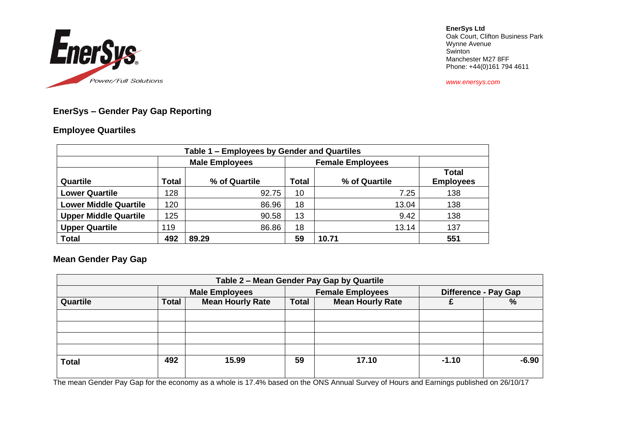

**EnerSys Ltd** Oak Court, Clifton Business Park Wynne Avenue Swinton Manchester M27 8FF Phone: +44(0)161 794 4611

*www.enersys.com*

# **EnerSys – Gender Pay Gap Reporting**

#### **Employee Quartiles**

| Table 1 – Employees by Gender and Quartiles |                       |               |       |                         |                                  |  |  |
|---------------------------------------------|-----------------------|---------------|-------|-------------------------|----------------------------------|--|--|
|                                             | <b>Male Employees</b> |               |       | <b>Female Employees</b> |                                  |  |  |
| Quartile                                    | Total                 | % of Quartile | Total | % of Quartile           | <b>Total</b><br><b>Employees</b> |  |  |
| <b>Lower Quartile</b>                       | 128                   | 92.75         | 10    | 7.25                    | 138                              |  |  |
| <b>Lower Middle Quartile</b>                | 120                   | 86.96         | 18    | 13.04                   | 138                              |  |  |
| <b>Upper Middle Quartile</b>                | 125                   | 90.58         | 13    | 9.42                    | 138                              |  |  |
| <b>Upper Quartile</b>                       | 119                   | 86.86         | 18    | 13.14                   | 137                              |  |  |
| <b>Total</b>                                | 492                   | 89.29         | 59    | 10.71                   | 551                              |  |  |

## **Mean Gender Pay Gap**

| Table 2 - Mean Gender Pay Gap by Quartile |                       |                         |                         |                         |                             |               |
|-------------------------------------------|-----------------------|-------------------------|-------------------------|-------------------------|-----------------------------|---------------|
|                                           | <b>Male Employees</b> |                         | <b>Female Employees</b> |                         | <b>Difference - Pay Gap</b> |               |
| Quartile                                  | Total                 | <b>Mean Hourly Rate</b> | <b>Total</b>            | <b>Mean Hourly Rate</b> |                             | $\frac{0}{0}$ |
|                                           |                       |                         |                         |                         |                             |               |
|                                           |                       |                         |                         |                         |                             |               |
|                                           |                       |                         |                         |                         |                             |               |
|                                           |                       |                         |                         |                         |                             |               |
| <b>Total</b>                              | 492                   | 15.99                   | 59                      | 17.10                   | $-1.10$                     | $-6.90$       |
|                                           |                       |                         |                         |                         |                             |               |

The mean Gender Pay Gap for the economy as a whole is 17.4% based on the ONS Annual Survey of Hours and Earnings published on 26/10/17